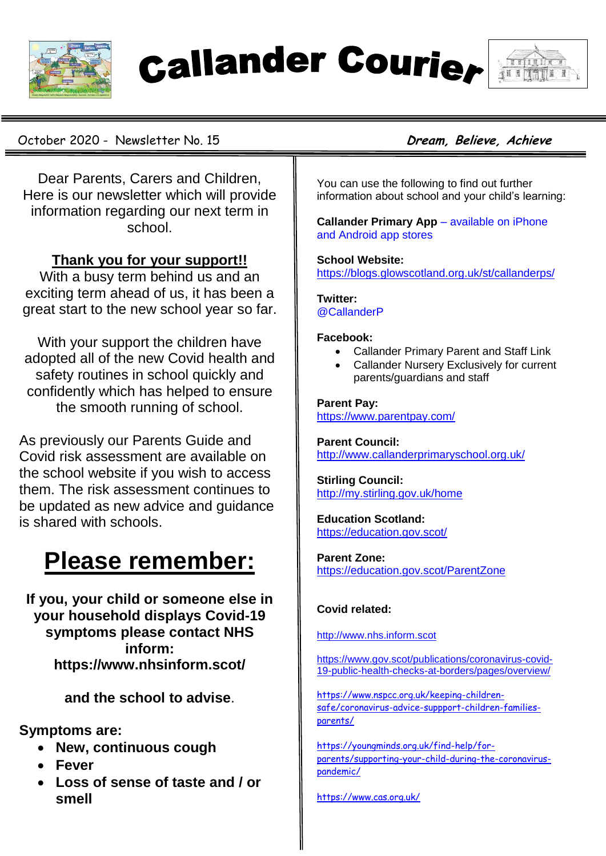

**Callander Courier** 



October 2020 - Newsletter No. 15 **Dream, Believe, Achieve** 

Dear Parents, Carers and Children, Here is our newsletter which will provide information regarding our next term in school.

#### **Thank you for your support!!**

With a busy term behind us and an exciting term ahead of us, it has been a great start to the new school year so far.

With your support the children have adopted all of the new Covid health and safety routines in school quickly and confidently which has helped to ensure the smooth running of school.

As previously our Parents Guide and Covid risk assessment are available on the school website if you wish to access them. The risk assessment continues to be updated as new advice and guidance is shared with schools.

### **Please remember:**

**If you, your child or someone else in your household displays Covid-19 symptoms please contact NHS inform: https://www.nhsinform.scot/**

**and the school to advise**.

**Symptoms are:**

- **New, continuous cough**
- **Fever**
- **Loss of sense of taste and / or smell**

You can use the following to find out further information about school and your child's learning:

**Callander Primary App** – available on iPhone and Android app stores

**School Website:** <https://blogs.glowscotland.org.uk/st/callanderps/>

**Twitter:** @CallanderP

#### **Facebook:**

- Callander Primary Parent and Staff Link
- Callander Nursery Exclusively for current parents/guardians and staff

#### **Parent Pay:**

<https://www.parentpay.com/>

**Parent Council:** <http://www.callanderprimaryschool.org.uk/>

**Stirling Council:** <http://my.stirling.gov.uk/home>

**Education Scotland:** <https://education.gov.scot/>

**Parent Zone:**

<https://education.gov.scot/ParentZone>

#### **Covid related:**

[http://www.nhs.inform.scot](http://www.nhs.inform.scot/)

[https://www.gov.scot/publications/coronavirus-covid-](https://www.gov.scot/publications/coronavirus-covid-19-public-health-checks-at-borders/pages/overview/)[19-public-health-checks-at-borders/pages/overview/](https://www.gov.scot/publications/coronavirus-covid-19-public-health-checks-at-borders/pages/overview/)

[https://www.nspcc.org.uk/keeping-children](https://www.nspcc.org.uk/keeping-children-safe/coronavirus-advice-suppport-children-families-parents/)[safe/coronavirus-advice-suppport-children-families](https://www.nspcc.org.uk/keeping-children-safe/coronavirus-advice-suppport-children-families-parents/)[parents/](https://www.nspcc.org.uk/keeping-children-safe/coronavirus-advice-suppport-children-families-parents/)

[https://youngminds.org.uk/find-help/for](https://youngminds.org.uk/find-help/for-parents/supporting-your-child-during-the-coronavirus-pandemic/)[parents/supporting-your-child-during-the-coronavirus](https://youngminds.org.uk/find-help/for-parents/supporting-your-child-during-the-coronavirus-pandemic/)[pandemic/](https://youngminds.org.uk/find-help/for-parents/supporting-your-child-during-the-coronavirus-pandemic/)

<https://www.cas.org.uk/>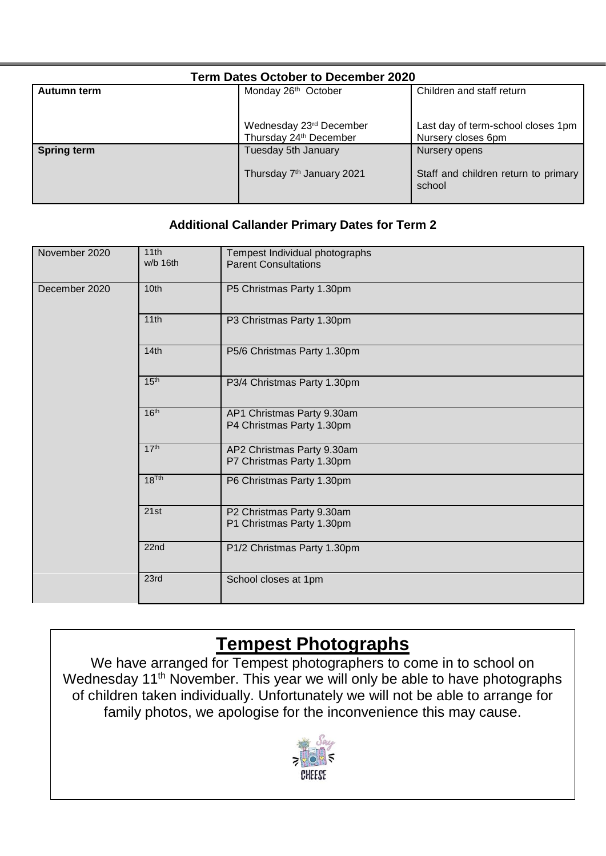| <b>Term Dates October to December 2020</b> |                                                   |                                                          |
|--------------------------------------------|---------------------------------------------------|----------------------------------------------------------|
| Autumn term                                | Monday 26 <sup>th</sup> October                   | Children and staff return                                |
|                                            | Wednesday 23rd December<br>Thursday 24th December | Last day of term-school closes 1pm<br>Nursery closes 6pm |
| <b>Spring term</b>                         | Tuesday 5th January                               | Nursery opens                                            |
|                                            | Thursday 7 <sup>th</sup> January 2021             | Staff and children return to primary<br>school           |

#### **Additional Callander Primary Dates for Term 2**

| November 2020 | 11th<br>w/b 16th  | Tempest Individual photographs<br><b>Parent Consultations</b> |
|---------------|-------------------|---------------------------------------------------------------|
| December 2020 | 10th              | P5 Christmas Party 1.30pm                                     |
|               | 11th              | P3 Christmas Party 1.30pm                                     |
|               | 14th              | P5/6 Christmas Party 1.30pm                                   |
|               | 15 <sup>th</sup>  | P3/4 Christmas Party 1.30pm                                   |
|               | 16 <sup>th</sup>  | AP1 Christmas Party 9.30am<br>P4 Christmas Party 1.30pm       |
|               | 17 <sup>th</sup>  | AP2 Christmas Party 9.30am<br>P7 Christmas Party 1.30pm       |
|               | 18 <sup>Tth</sup> | P6 Christmas Party 1.30pm                                     |
|               | 21st              | P2 Christmas Party 9.30am<br>P1 Christmas Party 1.30pm        |
|               | 22 <sub>nd</sub>  | P1/2 Christmas Party 1.30pm                                   |
|               | 23rd              | School closes at 1pm                                          |

### **Tempest Photographs**

We have arranged for Tempest photographers to come in to school on Wednesday 11<sup>th</sup> November. This year we will only be able to have photographs of children taken individually. Unfortunately we will not be able to arrange for family photos, we apologise for the inconvenience this may cause.

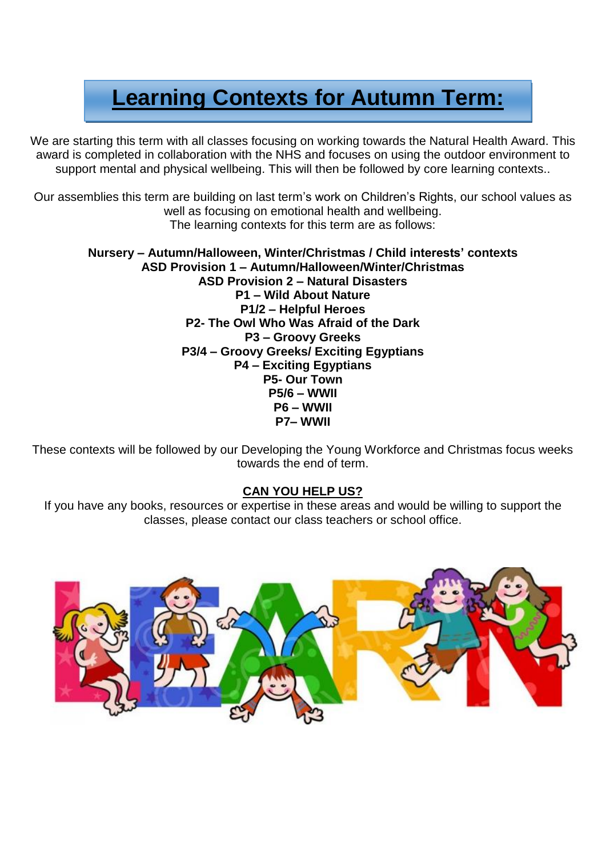### **Learning Contexts for Autumn Term:**

We are starting this term with all classes focusing on working towards the Natural Health Award. This award is completed in collaboration with the NHS and focuses on using the outdoor environment to support mental and physical wellbeing. This will then be followed by core learning contexts..

Our assemblies this term are building on last term's work on Children's Rights, our school values as well as focusing on emotional health and wellbeing. The learning contexts for this term are as follows:

#### **Nursery – Autumn/Halloween, Winter/Christmas / Child interests' contexts ASD Provision 1 – Autumn/Halloween/Winter/Christmas ASD Provision 2 – Natural Disasters P1 – Wild About Nature P1/2 – Helpful Heroes P2- The Owl Who Was Afraid of the Dark P3 – Groovy Greeks P3/4 – Groovy Greeks/ Exciting Egyptians P4 – Exciting Egyptians P5- Our Town P5/6 – WWII P6 – WWII P7– WWII**

These contexts will be followed by our Developing the Young Workforce and Christmas focus weeks towards the end of term.

#### **CAN YOU HELP US?**

If you have any books, resources or expertise in these areas and would be willing to support the classes, please contact our class teachers or school office.

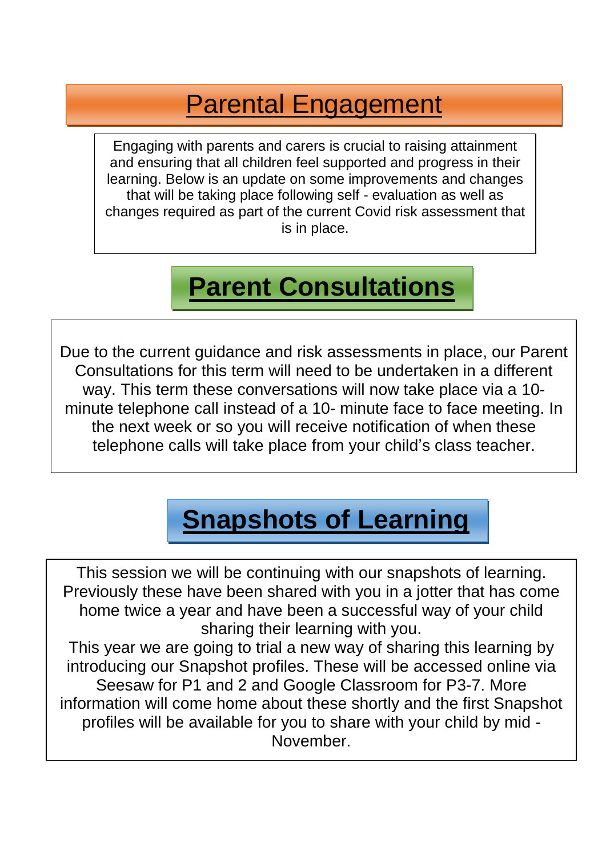### Parental Engagement

. that will be taking place following self - evaluation as well as Engaging with parents and carers is crucial to raising attainment and ensuring that all children feel supported and progress in their learning. Below is an update on some improvements and changes changes required as part of the current Covid risk assessment that is in place.

## **Parent Consultations**

Due to the current guidance and risk assessments in place, our Parent Consultations for this term will need to be undertaken in a different way. This term these conversations will now take place via a 10 minute telephone call instead of a 10- minute face to face meeting. In the next week or so you will receive notification of when these telephone calls will take place from your child's class teacher.

### **Snapshots of Learning**

This session we will be continuing with our snapshots of learning. Previously these have been shared with you in a jotter that has come home twice a year and have been a successful way of your child sharing their learning with you.

This year we are going to trial a new way of sharing this learning by introducing our Snapshot profiles. These will be accessed online via Seesaw for P1 and 2 and Google Classroom for P3-7. More information will come home about these shortly and the first Snapshot profiles will be available for you to share with your child by mid - November.